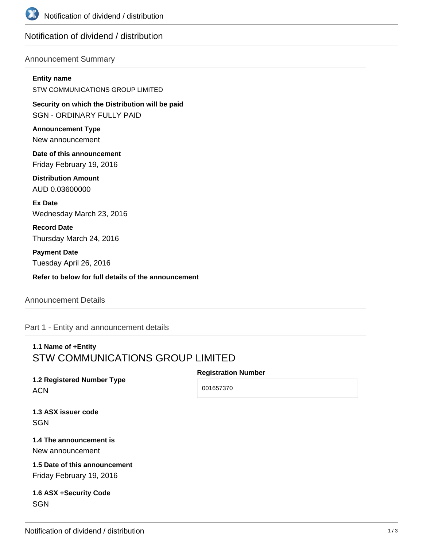

# Notification of dividend / distribution

### Announcement Summary

#### **Entity name**

STW COMMUNICATIONS GROUP LIMITED

**Security on which the Distribution will be paid** SGN - ORDINARY FULLY PAID

**Announcement Type** New announcement

**Date of this announcement** Friday February 19, 2016

**Distribution Amount** AUD 0.03600000

**Ex Date** Wednesday March 23, 2016

**Record Date** Thursday March 24, 2016

**Payment Date** Tuesday April 26, 2016

**Refer to below for full details of the announcement**

### Announcement Details

Part 1 - Entity and announcement details

# **1.1 Name of +Entity** STW COMMUNICATIONS GROUP LIMITED

#### **Registration Number**

**1.2 Registered Number Type** ACN

001657370

**1.3 ASX issuer code SGN** 

**1.4 The announcement is** New announcement

**1.5 Date of this announcement** Friday February 19, 2016

**1.6 ASX +Security Code SGN**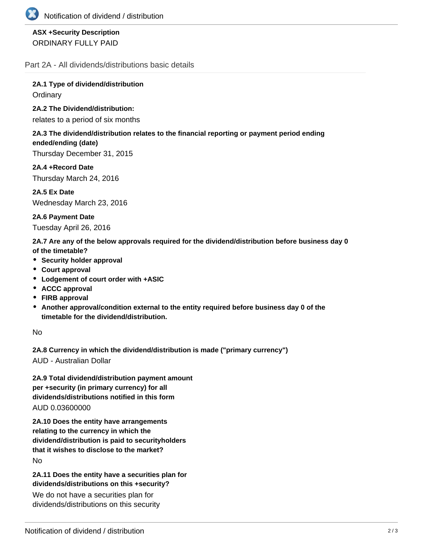

## **ASX +Security Description** ORDINARY FULLY PAID

Part 2A - All dividends/distributions basic details

**2A.1 Type of dividend/distribution Ordinary** 

### **2A.2 The Dividend/distribution:**

relates to a period of six months

### **2A.3 The dividend/distribution relates to the financial reporting or payment period ending ended/ending (date)**

Thursday December 31, 2015

**2A.4 +Record Date** Thursday March 24, 2016

**2A.5 Ex Date** Wednesday March 23, 2016

**2A.6 Payment Date** Tuesday April 26, 2016

**2A.7 Are any of the below approvals required for the dividend/distribution before business day 0 of the timetable?**

- **•** Security holder approval
- **Court approval**
- **Lodgement of court order with +ASIC**
- **ACCC approval**
- **FIRB approval**
- **Another approval/condition external to the entity required before business day 0 of the timetable for the dividend/distribution.**

No

**2A.8 Currency in which the dividend/distribution is made ("primary currency")**

AUD - Australian Dollar

**2A.9 Total dividend/distribution payment amount per +security (in primary currency) for all dividends/distributions notified in this form** AUD 0.03600000

**2A.10 Does the entity have arrangements relating to the currency in which the dividend/distribution is paid to securityholders that it wishes to disclose to the market?** No

**2A.11 Does the entity have a securities plan for dividends/distributions on this +security?**

We do not have a securities plan for dividends/distributions on this security